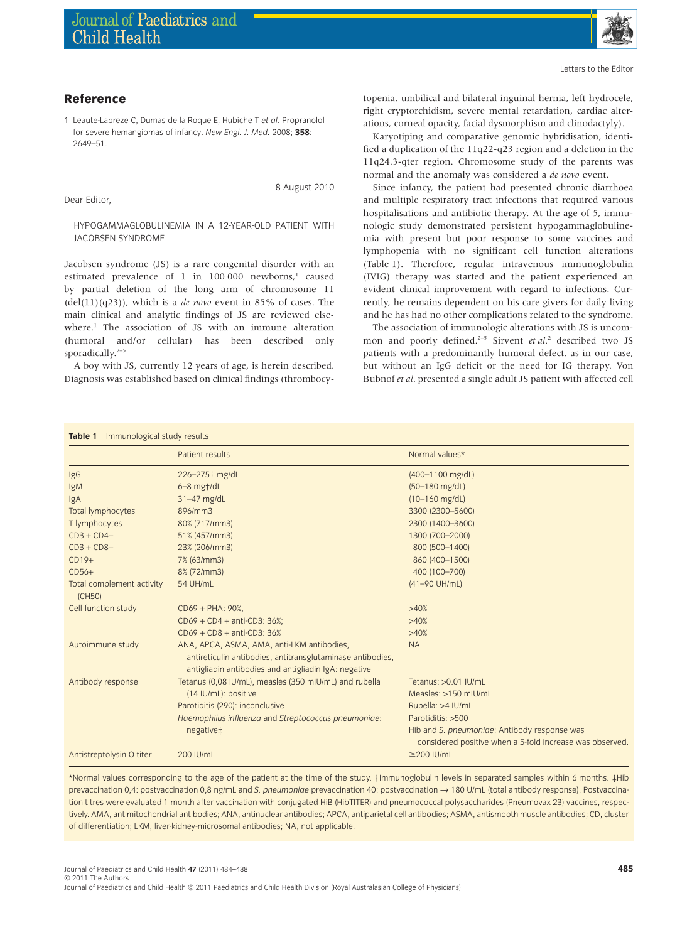

## **Reference**

1 Leaute-Labreze C, Dumas de la Roque E, Hubiche T *et al*. Propranolol for severe hemangiomas of infancy. *New Engl. J. Med.* 2008; **358**: 2649–51.

Dear Editor,

8 August 2010

HYPOGAMMAGLOBULINEMIA IN A 12-YEAR-OLD PATIENT WITH JACOBSEN SYNDROME

Jacobsen syndrome (JS) is a rare congenital disorder with an estimated prevalence of 1 in 100 000 newborns,<sup>1</sup> caused by partial deletion of the long arm of chromosome 11 (del(11)(q23)), which is a *de novo* event in 85% of cases. The main clinical and analytic findings of JS are reviewed elsewhere.<sup>1</sup> The association of JS with an immune alteration (humoral and/or cellular) has been described only sporadically.<sup>2-5</sup>

A boy with JS, currently 12 years of age, is herein described. Diagnosis was established based on clinical findings (thrombocytopenia, umbilical and bilateral inguinal hernia, left hydrocele, right cryptorchidism, severe mental retardation, cardiac alterations, corneal opacity, facial dysmorphism and clinodactyly).

Karyotiping and comparative genomic hybridisation, identified a duplication of the 11q22-q23 region and a deletion in the 11q24.3-qter region. Chromosome study of the parents was normal and the anomaly was considered a *de novo* event.

Since infancy, the patient had presented chronic diarrhoea and multiple respiratory tract infections that required various hospitalisations and antibiotic therapy. At the age of 5, immunologic study demonstrated persistent hypogammaglobulinemia with present but poor response to some vaccines and lymphopenia with no significant cell function alterations (Table 1). Therefore, regular intravenous immunoglobulin (IVIG) therapy was started and the patient experienced an evident clinical improvement with regard to infections. Currently, he remains dependent on his care givers for daily living and he has had no other complications related to the syndrome.

The association of immunologic alterations with JS is uncommon and poorly defined.<sup>2-5</sup> Sirvent *et al.*<sup>2</sup> described two JS patients with a predominantly humoral defect, as in our case, but without an IgG deficit or the need for IG therapy. Von Bubnof *et al*. presented a single adult JS patient with affected cell

|  | Table 1 Immunological study results |  |
|--|-------------------------------------|--|
|--|-------------------------------------|--|

|                                     | Patient results                                                                                                                                                  | Normal values*                                                                                           |  |
|-------------------------------------|------------------------------------------------------------------------------------------------------------------------------------------------------------------|----------------------------------------------------------------------------------------------------------|--|
| IgG                                 | 226-275+ mg/dL                                                                                                                                                   | (400-1100 mg/dL)                                                                                         |  |
| IgM                                 | $6 - 8$ mg $+$ /dL                                                                                                                                               | (50-180 mg/dL)                                                                                           |  |
| IgA                                 | 31-47 mg/dL                                                                                                                                                      | $(10-160 \text{ mg/dL})$                                                                                 |  |
| Total lymphocytes                   | 896/mm3                                                                                                                                                          | 3300 (2300-5600)                                                                                         |  |
| T lymphocytes                       | 80% (717/mm3)                                                                                                                                                    | 2300 (1400-3600)                                                                                         |  |
| $CD3 + CD4+$                        | 51% (457/mm3)                                                                                                                                                    | 1300 (700-2000)                                                                                          |  |
| $CD3 + CD8 +$                       | 23% (206/mm3)                                                                                                                                                    | 800 (500-1400)                                                                                           |  |
| $CD19+$                             | 7% (63/mm3)                                                                                                                                                      | 860 (400-1500)                                                                                           |  |
| $CD56+$                             | 8% (72/mm3)                                                                                                                                                      | 400 (100-700)                                                                                            |  |
| Total complement activity<br>(CH50) | 54 UH/mL                                                                                                                                                         | (41-90 UH/mL)                                                                                            |  |
| Cell function study                 | $CD69 + PHA: 90%$                                                                                                                                                | >40%                                                                                                     |  |
|                                     | $CD69 + CD4 + anti-CD3: 36%$ ;                                                                                                                                   | >40%                                                                                                     |  |
|                                     | $CD69 + CD8 + anti-CD3: 36%$                                                                                                                                     | >40%                                                                                                     |  |
| Autoimmune study                    | ANA, APCA, ASMA, AMA, anti-LKM antibodies,<br>antireticulin antibodies, antitransglutaminase antibodies,<br>antigliadin antibodies and antigliadin IgA: negative | <b>NA</b>                                                                                                |  |
| Antibody response                   | Tetanus (0,08 IU/mL), measles (350 mIU/mL) and rubella                                                                                                           | Tetanus: > 0.01 IU/mL                                                                                    |  |
|                                     | (14 IU/mL): positive                                                                                                                                             | Measles: >150 mIU/mL                                                                                     |  |
|                                     | Parotiditis (290): inconclusive                                                                                                                                  | Rubella: >4 IU/mL                                                                                        |  |
|                                     | Haemophilus influenza and Streptococcus pneumoniae:                                                                                                              | Parotiditis: >500                                                                                        |  |
|                                     | negative‡                                                                                                                                                        | Hib and S. pneumoniae: Antibody response was<br>considered positive when a 5-fold increase was observed. |  |
| Antistreptolysin O titer            | 200 IU/mL                                                                                                                                                        | $\geq$ 200 IU/mL                                                                                         |  |
|                                     |                                                                                                                                                                  |                                                                                                          |  |

\*Normal values corresponding to the age of the patient at the time of the study. †Immunoglobulin levels in separated samples within 6 months. ‡Hib prevaccination 0,4: postvaccination 0,8 ng/mL and *S. pneumoniae* prevaccination 40: postvaccination → 180 U/mL (total antibody response). Postvaccination titres were evaluated 1 month after vaccination with conjugated HiB (HibTITER) and pneumococcal polysaccharides (Pneumovax 23) vaccines, respectively. AMA, antimitochondrial antibodies; ANA, antinuclear antibodies; APCA, antiparietal cell antibodies; ASMA, antismooth muscle antibodies; CD, cluster of differentiation; LKM, liver-kidney-microsomal antibodies; NA, not applicable.